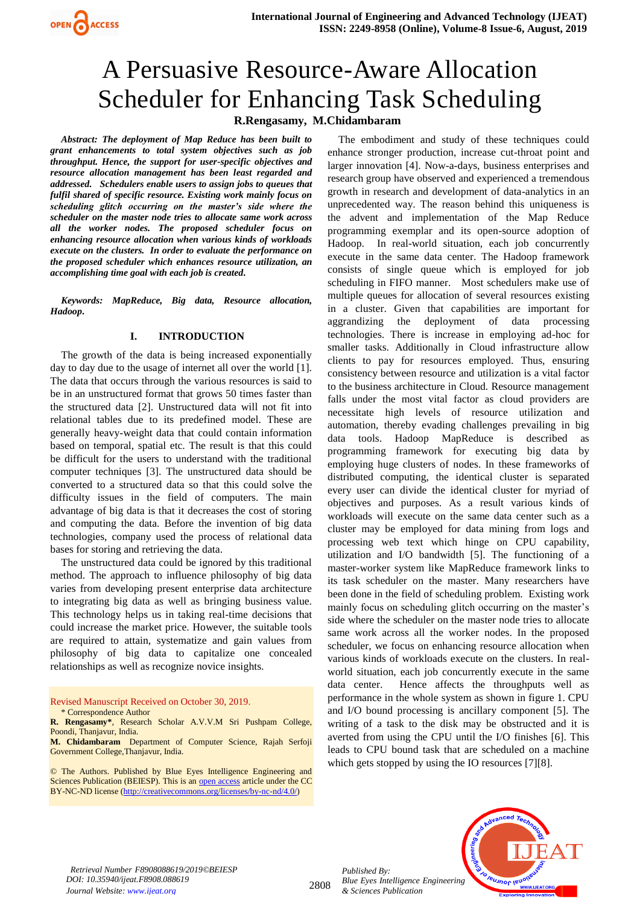# A Persuasive Resource-Aware Allocation Scheduler for Enhancing Task Scheduling **R.Rengasamy, M.Chidambaram**

*Abstract: The deployment of Map Reduce has been built to grant enhancements to total system objectives such as job throughput. Hence, the support for user-specific objectives and resource allocation management has been least regarded and addressed. Schedulers enable users to assign jobs to queues that fulfil shared of specific resource. Existing work mainly focus on scheduling glitch occurring on the master's side where the scheduler on the master node tries to allocate same work across all the worker nodes. The proposed scheduler focus on enhancing resource allocation when various kinds of workloads execute on the clusters. In order to evaluate the performance on the proposed scheduler which enhances resource utilization, an accomplishing time goal with each job is created.* 

*Keywords: MapReduce, Big data, Resource allocation, Hadoop***.**

# **I. INTRODUCTION**

The growth of the data is being increased exponentially day to day due to the usage of internet all over the world [1]. The data that occurs through the various resources is said to be in an unstructured format that grows 50 times faster than the structured data [2]. Unstructured data will not fit into relational tables due to its predefined model. These are generally heavy-weight data that could contain information based on temporal, spatial etc. The result is that this could be difficult for the users to understand with the traditional computer techniques [3]. The unstructured data should be converted to a structured data so that this could solve the difficulty issues in the field of computers. The main advantage of big data is that it decreases the cost of storing and computing the data. Before the invention of big data technologies, company used the process of relational data bases for storing and retrieving the data.

The unstructured data could be ignored by this traditional method. The approach to influence philosophy of big data varies from developing present enterprise data architecture to integrating big data as well as bringing business value. This technology helps us in taking real-time decisions that could increase the market price. However, the suitable tools are required to attain, systematize and gain values from philosophy of big data to capitalize one concealed relationships as well as recognize novice insights.

Revised Manuscript Received on October 30, 2019. \* Correspondence Author

**M. Chidambaram** Department of Computer Science, Rajah Serfoji Government College,Thanjavur, India.

© The Authors. Published by Blue Eyes Intelligence Engineering and Sciences Publication (BEIESP). This is an [open access](https://www.openaccess.nl/en/open-publications) article under the CC BY-NC-ND license [\(http://creativecommons.org/licenses/by-nc-nd/4.0/\)](http://creativecommons.org/licenses/by-nc-nd/4.0/)

The embodiment and study of these techniques could enhance stronger production, increase cut-throat point and larger innovation [4]. Now-a-days, business enterprises and research group have observed and experienced a tremendous growth in research and development of data-analytics in an unprecedented way. The reason behind this uniqueness is the advent and implementation of the Map Reduce programming exemplar and its open-source adoption of Hadoop. In real-world situation, each job concurrently execute in the same data center. The Hadoop framework consists of single queue which is employed for job scheduling in FIFO manner. Most schedulers make use of multiple queues for allocation of several resources existing in a cluster. Given that capabilities are important for aggrandizing the deployment of data processing technologies. There is increase in employing ad-hoc for smaller tasks. Additionally in Cloud infrastructure allow clients to pay for resources employed. Thus, ensuring consistency between resource and utilization is a vital factor to the business architecture in Cloud. Resource management falls under the most vital factor as cloud providers are necessitate high levels of resource utilization and automation, thereby evading challenges prevailing in big data tools. Hadoop MapReduce is described as programming framework for executing big data by employing huge clusters of nodes. In these frameworks of distributed computing, the identical cluster is separated every user can divide the identical cluster for myriad of objectives and purposes. As a result various kinds of workloads will execute on the same data center such as a cluster may be employed for data mining from logs and processing web text which hinge on CPU capability, utilization and I/O bandwidth [5]. The functioning of a master-worker system like MapReduce framework links to its task scheduler on the master. Many researchers have been done in the field of scheduling problem. Existing work mainly focus on scheduling glitch occurring on the master's side where the scheduler on the master node tries to allocate same work across all the worker nodes. In the proposed scheduler, we focus on enhancing resource allocation when various kinds of workloads execute on the clusters. In realworld situation, each job concurrently execute in the same data center. Hence affects the throughputs well as performance in the whole system as shown in figure 1. CPU and I/O bound processing is ancillary component [5]. The writing of a task to the disk may be obstructed and it is averted from using the CPU until the I/O finishes [6]. This leads to CPU bound task that are scheduled on a machine which gets stopped by using the IO resources [7][8].

*Retrieval Number F8908088619/2019©BEIESP DOI: 10.35940/ijeat.F8908.088619 Journal Website: www.ijeat.org*

2808

*Published By: Blue Eyes Intelligence Engineering & Sciences Publication* 



**R. Rengasamy\***, Research Scholar A.V.V.M Sri Pushpam College, Poondi, Thanjavur, India.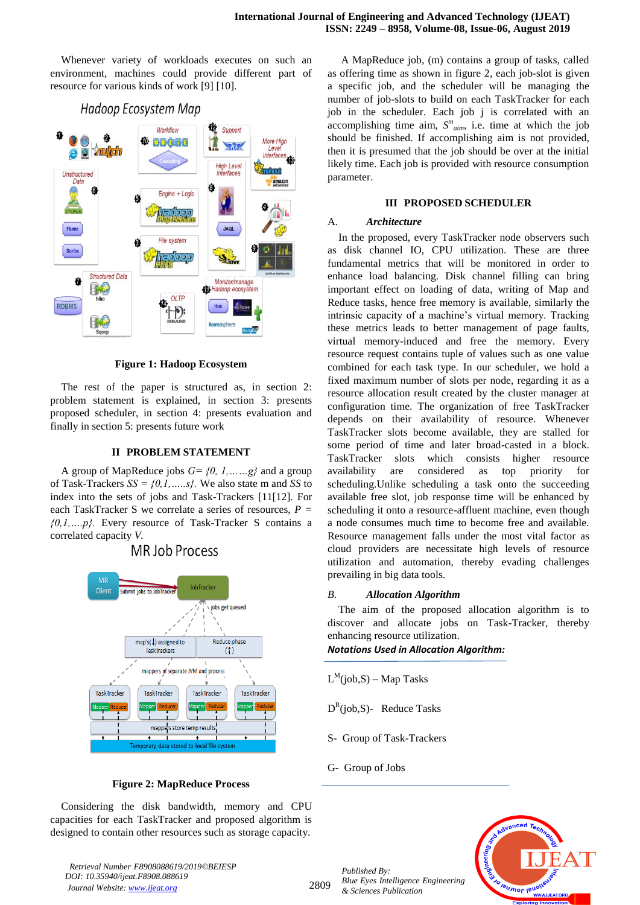Whenever variety of workloads executes on such an environment, machines could provide different part of resource for various kinds of work [9] [10].



## **Figure 1: Hadoop Ecosystem**

The rest of the paper is structured as, in section 2: problem statement is explained, in section 3: presents proposed scheduler, in section 4: presents evaluation and finally in section 5: presents future work

## **II PROBLEM STATEMENT**

A group of MapReduce jobs *G= {0, 1,……g}* and a group of Task-Trackers *SS = {0,1,…..s}.* We also state m and *SS* to index into the sets of jobs and Task-Trackers [11[12]. For each TaskTracker S we correlate a series of resources, *P = {0,1,….p}.* Every resource of Task-Tracker S contains a correlated capacity *V.*



# MR Job Process

#### **Figure 2: MapReduce Process**

Considering the disk bandwidth, memory and CPU capacities for each TaskTracker and proposed algorithm is designed to contain other resources such as storage capacity.

*Retrieval Number F8908088619/2019©BEIESP DOI: 10.35940/ijeat.F8908.088619 Journal Website: www.ijeat.org*

A MapReduce job, (m) contains a group of tasks, called as offering time as shown in figure 2, each job-slot is given a specific job, and the scheduler will be managing the number of job-slots to build on each TaskTracker for each job in the scheduler. Each job j is correlated with an accomplishing time aim,  $S^{m}$ <sub>aim</sub>, i.e. time at which the job should be finished. If accomplishing aim is not provided, then it is presumed that the job should be over at the initial likely time. Each job is provided with resource consumption parameter.

#### **III PROPOSED SCHEDULER**

#### A. *Architecture*

In the proposed, every TaskTracker node observers such as disk channel IO, CPU utilization. These are three fundamental metrics that will be monitored in order to enhance load balancing. Disk channel filling can bring important effect on loading of data, writing of Map and Reduce tasks, hence free memory is available, similarly the intrinsic capacity of a machine's virtual memory. Tracking these metrics leads to better management of page faults, virtual memory-induced and free the memory. Every resource request contains tuple of values such as one value combined for each task type. In our scheduler, we hold a fixed maximum number of slots per node, regarding it as a resource allocation result created by the cluster manager at configuration time. The organization of free TaskTracker depends on their availability of resource. Whenever TaskTracker slots become available, they are stalled for some period of time and later broad-casted in a block. TaskTracker slots which consists higher resource availability are considered as top priority for scheduling.Unlike scheduling a task onto the succeeding available free slot, job response time will be enhanced by scheduling it onto a resource-affluent machine, even though a node consumes much time to become free and available. Resource management falls under the most vital factor as cloud providers are necessitate high levels of resource utilization and automation, thereby evading challenges prevailing in big data tools.

#### *B. Allocation Algorithm*

The aim of the proposed allocation algorithm is to discover and allocate jobs on Task-Tracker, thereby enhancing resource utilization.

*Notations Used in Allocation Algorithm:*

- $L^M(job, S) Map$  Tasks
- $D^R$ (job,S)- Reduce Tasks
- S- Group of Task-Trackers
- G- Group of Jobs

*Published By:*



2809

*Blue Eyes Intelligence Engineering & Sciences Publication*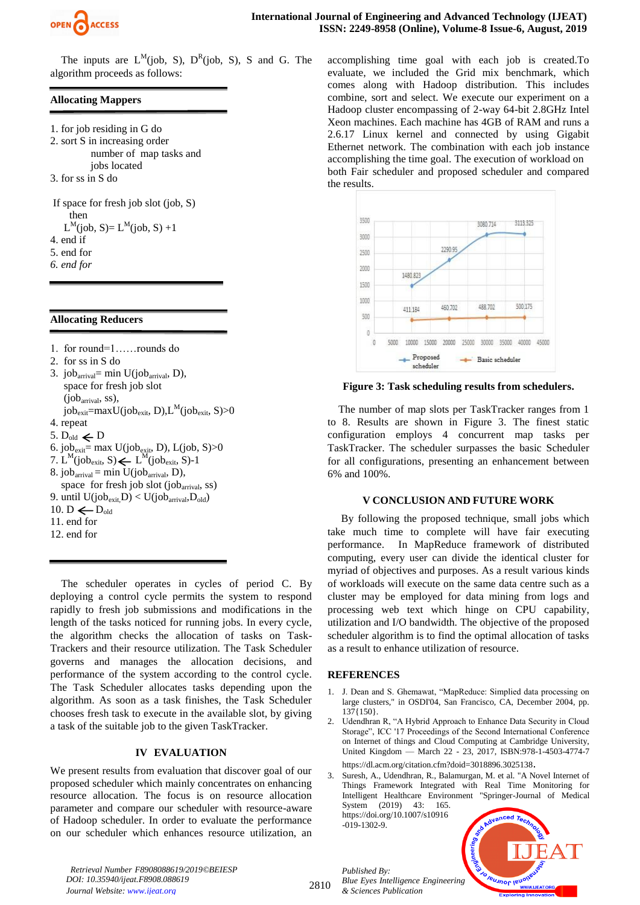

The inputs are  $L^M(job, S)$ ,  $D^R(job, S)$ , S and G. The algorithm proceeds as follows:

# **Allocating Mappers**

- 1. for job residing in G do 2. sort S in increasing order number of map tasks and jobs located 3. for ss in S do
- If space for fresh job slot (job, S) then  $L^M(job, S) = L^M(job, S) + 1$ 4. end if 5. end for
- *6. end for*

## **Allocating Reducers**

- 1. for round=1……rounds do
- 2. for ss in S do
- 3. job<sub>arrival</sub>= min U(job<sub>arrival</sub>, D), space for fresh job slot (jobarrival, ss),  $job_{exit} = maxU(job_{exit}, D), L^M(job_{exit}, S) > 0$ 4. repeat 5.  $D_{old} \leftarrow D$ 6. job<sub>exit</sub>= max  $U(job_{exit}, D)$ , L(job, S)>0
- 7.  $L^M(job_{exit}, S) \leftarrow L^M(job_{exit}, S) 1$
- 8. job<sub>arrival</sub> = min  $U(job<sub>arrival</sub>, D)$ ,
- space for fresh job slot (job<sub>arrival</sub>, ss)
- 9. until  $U(job_{exit}D) < U(job_{arrival},D_{old})$
- 10. D  $\leftarrow$  D<sub>old</sub>
- 11. end for
- 12. end for

The scheduler operates in cycles of period C. By deploying a control cycle permits the system to respond rapidly to fresh job submissions and modifications in the length of the tasks noticed for running jobs. In every cycle, the algorithm checks the allocation of tasks on Task-Trackers and their resource utilization. The Task Scheduler governs and manages the allocation decisions, and performance of the system according to the control cycle. The Task Scheduler allocates tasks depending upon the algorithm. As soon as a task finishes, the Task Scheduler chooses fresh task to execute in the available slot, by giving a task of the suitable job to the given TaskTracker.

# **IV EVALUATION**

We present results from evaluation that discover goal of our proposed scheduler which mainly concentrates on enhancing resource allocation. The focus is on resource allocation parameter and compare our scheduler with resource-aware of Hadoop scheduler. In order to evaluate the performance on our scheduler which enhances resource utilization, an

accomplishing time goal with each job is created.To evaluate, we included the Grid mix benchmark, which comes along with Hadoop distribution. This includes combine, sort and select. We execute our experiment on a Hadoop cluster encompassing of 2-way 64-bit 2.8GHz Intel Xeon machines. Each machine has 4GB of RAM and runs a 2.6.17 Linux kernel and connected by using Gigabit Ethernet network. The combination with each job instance accomplishing the time goal. The execution of workload on both Fair scheduler and proposed scheduler and compared the results.



**Figure 3: Task scheduling results from schedulers.**

The number of map slots per TaskTracker ranges from 1 to 8. Results are shown in Figure 3. The finest static configuration employs 4 concurrent map tasks per TaskTracker. The scheduler surpasses the basic Scheduler for all configurations, presenting an enhancement between 6% and 100%.

## **V CONCLUSION AND FUTURE WORK**

By following the proposed technique, small jobs which take much time to complete will have fair executing performance. In MapReduce framework of distributed computing, every user can divide the identical cluster for myriad of objectives and purposes. As a result various kinds of workloads will execute on the same data centre such as a cluster may be employed for data mining from logs and processing web text which hinge on CPU capability, utilization and I/O bandwidth. The objective of the proposed scheduler algorithm is to find the optimal allocation of tasks as a result to enhance utilization of resource.

## **REFERENCES**

- 1. J. Dean and S. Ghemawat, "MapReduce: Simplied data processing on large clusters," in OSDI'04, San Francisco, CA, December 2004, pp. 137{150}.
- Udendhran R, "A Hybrid Approach to Enhance Data Security in Cloud Storage", ICC '17 Proceedings of the Second International Conference on Internet of things and Cloud Computing at Cambridge University, United Kingdom — March 22 - 23, 2017, ISBN:978-1-4503-4774-7 <https://dl.acm.org/citation.cfm?doid=3018896.3025138>.
- Suresh, A., Udendhran, R., Balamurgan, M. et al. "A Novel Internet of Things Framework Integrated with Real Time Monitoring for Intelligent Healthcare Environment "Springer-Journal of Medical System (2019) 43: 165.

[https://doi.org/10.1007/s10916](https://doi.org/10.1007/s10916-019-1302-9) [-019-1302-9.](https://doi.org/10.1007/s10916-019-1302-9)



*Retrieval Number F8908088619/2019©BEIESP DOI: 10.35940/ijeat.F8908.088619 Journal Website: www.ijeat.org*

2810

*Published By: Blue Eyes Intelligence Engineering & Sciences Publication*